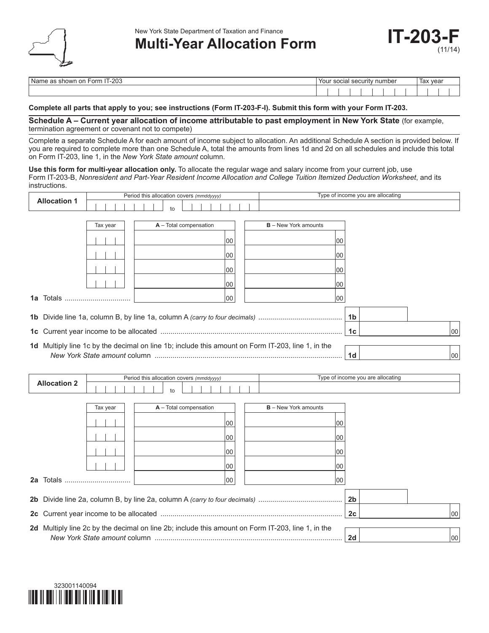

New York State Department of Taxation and Finance

## **Multi-Year Allocation Form Form IT-203**

| ററാ<br>. .<br>∙orm<br>Nar<br>as showr<br>or<br>∹∠∪ພ<br>- 1 | Your<br>$\sim$<br>. car<br>rıtv<br>suual<br>. acuu it |  |  |  |  | no,<br>numper |  |  | тал. | ax vear |  |  |
|------------------------------------------------------------|-------------------------------------------------------|--|--|--|--|---------------|--|--|------|---------|--|--|
|                                                            |                                                       |  |  |  |  |               |  |  |      |         |  |  |

## **Complete all parts that apply to you; see instructions (Form IT-203-F-I). Submit this form with your Form IT-203.**

**Schedule A – Current year allocation of income attributable to past employment in New York State** (for example, termination agreement or covenant not to compete)

Complete a separate Schedule A for each amount of income subject to allocation. An additional Schedule A section is provided below. If you are required to complete more than one Schedule A, total the amounts from lines 1d and 2d on all schedules and include this total on Form IT-203, line 1, in the *New York State amount* column.

**Use this form for multi-year allocation only.** To allocate the regular wage and salary income from your current job, use Form IT-203-B, *Nonresident and Part-Year Resident Income Allocation and College Tuition Itemized Deduction Worksheet*, and its instructions.

|          |                     | Period this allocation covers (mmddyyyy) |  |  |  |  |                                          |  |  |  |    |  | Type of income you are allocating                                                                 |    |                |                                   |  |    |
|----------|---------------------|------------------------------------------|--|--|--|--|------------------------------------------|--|--|--|----|--|---------------------------------------------------------------------------------------------------|----|----------------|-----------------------------------|--|----|
|          | <b>Allocation 1</b> |                                          |  |  |  |  | to                                       |  |  |  |    |  |                                                                                                   |    |                |                                   |  |    |
|          |                     |                                          |  |  |  |  |                                          |  |  |  |    |  |                                                                                                   |    |                |                                   |  |    |
| Tax year |                     |                                          |  |  |  |  | A - Total compensation                   |  |  |  |    |  | $B - New York$ amounts                                                                            |    |                |                                   |  |    |
|          |                     |                                          |  |  |  |  |                                          |  |  |  | 00 |  |                                                                                                   | 00 |                |                                   |  |    |
|          |                     |                                          |  |  |  |  |                                          |  |  |  | 00 |  |                                                                                                   | 00 |                |                                   |  |    |
|          |                     |                                          |  |  |  |  |                                          |  |  |  | 00 |  |                                                                                                   | 00 |                |                                   |  |    |
|          |                     |                                          |  |  |  |  |                                          |  |  |  | 00 |  |                                                                                                   | 00 |                |                                   |  |    |
|          | <b>1a</b> Totals    |                                          |  |  |  |  |                                          |  |  |  | 00 |  |                                                                                                   | 00 |                |                                   |  |    |
|          |                     |                                          |  |  |  |  |                                          |  |  |  |    |  |                                                                                                   |    |                |                                   |  |    |
|          |                     |                                          |  |  |  |  |                                          |  |  |  |    |  |                                                                                                   |    | 1 <sub>b</sub> |                                   |  |    |
|          |                     |                                          |  |  |  |  |                                          |  |  |  |    |  |                                                                                                   |    | 1 <sub>c</sub> |                                   |  | 00 |
|          |                     |                                          |  |  |  |  |                                          |  |  |  |    |  | 1d Multiply line 1c by the decimal on line 1b; include this amount on Form IT-203, line 1, in the |    | 1 <sub>d</sub> |                                   |  | 00 |
|          |                     |                                          |  |  |  |  | Period this allocation covers (mmddyyyy) |  |  |  |    |  |                                                                                                   |    |                | Type of income you are allocating |  |    |
|          | <b>Allocation 2</b> |                                          |  |  |  |  | to                                       |  |  |  |    |  |                                                                                                   |    |                |                                   |  |    |
|          |                     |                                          |  |  |  |  |                                          |  |  |  |    |  |                                                                                                   |    |                |                                   |  |    |
|          |                     | Tax year                                 |  |  |  |  | A - Total compensation                   |  |  |  |    |  | <b>B</b> – New York amounts                                                                       |    |                |                                   |  |    |
|          |                     |                                          |  |  |  |  |                                          |  |  |  | 00 |  |                                                                                                   | 00 |                |                                   |  |    |
|          |                     |                                          |  |  |  |  |                                          |  |  |  | 00 |  |                                                                                                   | 00 |                |                                   |  |    |
|          |                     |                                          |  |  |  |  |                                          |  |  |  | 00 |  |                                                                                                   | 00 |                |                                   |  |    |
|          |                     |                                          |  |  |  |  |                                          |  |  |  | 00 |  |                                                                                                   | 00 |                |                                   |  |    |
|          |                     |                                          |  |  |  |  |                                          |  |  |  | 00 |  |                                                                                                   | 00 |                |                                   |  |    |
|          |                     |                                          |  |  |  |  |                                          |  |  |  |    |  |                                                                                                   |    | 2 <sub>b</sub> |                                   |  |    |
|          |                     |                                          |  |  |  |  |                                          |  |  |  |    |  |                                                                                                   |    | 2 <sub>c</sub> |                                   |  | 00 |
|          |                     |                                          |  |  |  |  |                                          |  |  |  |    |  |                                                                                                   |    |                |                                   |  |    |
|          |                     |                                          |  |  |  |  |                                          |  |  |  |    |  | 2d Multiply line 2c by the decimal on line 2b; include this amount on Form IT-203, line 1, in the |    | 2d             |                                   |  | 00 |